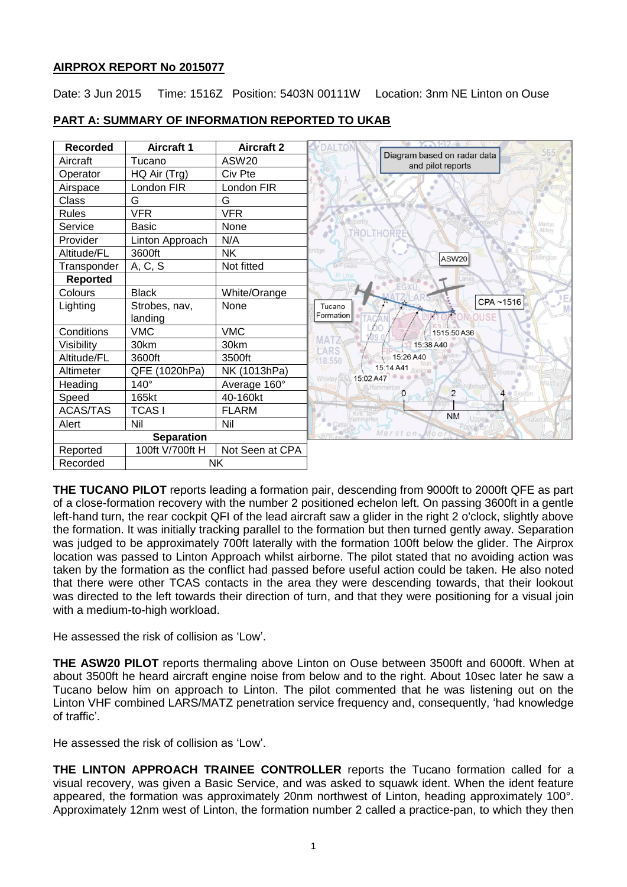# **AIRPROX REPORT No 2015077**

Date: 3 Jun 2015 Time: 1516Z Position: 5403N 00111W Location: 3nm NE Linton on Ouse



# **PART A: SUMMARY OF INFORMATION REPORTED TO UKAB**

**THE TUCANO PILOT** reports leading a formation pair, descending from 9000ft to 2000ft QFE as part of a close-formation recovery with the number 2 positioned echelon left. On passing 3600ft in a gentle left-hand turn, the rear cockpit QFI of the lead aircraft saw a glider in the right 2 o'clock, slightly above the formation. It was initially tracking parallel to the formation but then turned gently away. Separation was judged to be approximately 700ft laterally with the formation 100ft below the glider. The Airprox location was passed to Linton Approach whilst airborne. The pilot stated that no avoiding action was taken by the formation as the conflict had passed before useful action could be taken. He also noted that there were other TCAS contacts in the area they were descending towards, that their lookout was directed to the left towards their direction of turn, and that they were positioning for a visual join with a medium-to-high workload.

He assessed the risk of collision as 'Low'.

**THE ASW20 PILOT** reports thermaling above Linton on Ouse between 3500ft and 6000ft. When at about 3500ft he heard aircraft engine noise from below and to the right. About 10sec later he saw a Tucano below him on approach to Linton. The pilot commented that he was listening out on the Linton VHF combined LARS/MATZ penetration service frequency and, consequently, 'had knowledge of traffic'.

He assessed the risk of collision as 'Low'.

**THE LINTON APPROACH TRAINEE CONTROLLER** reports the Tucano formation called for a visual recovery, was given a Basic Service, and was asked to squawk ident. When the ident feature appeared, the formation was approximately 20nm northwest of Linton, heading approximately 100°. Approximately 12nm west of Linton, the formation number 2 called a practice-pan, to which they then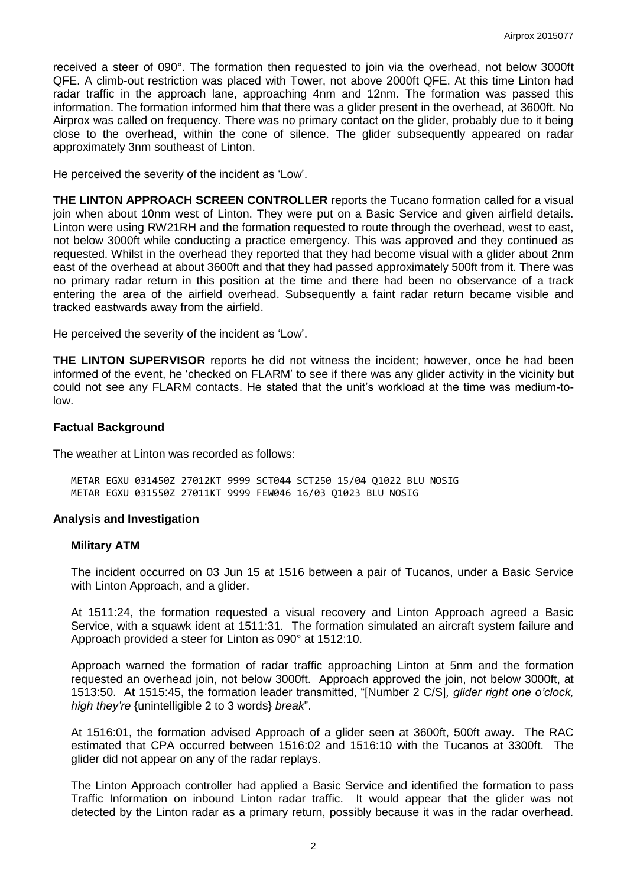received a steer of 090°. The formation then requested to join via the overhead, not below 3000ft QFE. A climb-out restriction was placed with Tower, not above 2000ft QFE. At this time Linton had radar traffic in the approach lane, approaching 4nm and 12nm. The formation was passed this information. The formation informed him that there was a glider present in the overhead, at 3600ft. No Airprox was called on frequency. There was no primary contact on the glider, probably due to it being close to the overhead, within the cone of silence. The glider subsequently appeared on radar approximately 3nm southeast of Linton.

He perceived the severity of the incident as 'Low'.

**THE LINTON APPROACH SCREEN CONTROLLER** reports the Tucano formation called for a visual join when about 10nm west of Linton. They were put on a Basic Service and given airfield details. Linton were using RW21RH and the formation requested to route through the overhead, west to east, not below 3000ft while conducting a practice emergency. This was approved and they continued as requested. Whilst in the overhead they reported that they had become visual with a glider about 2nm east of the overhead at about 3600ft and that they had passed approximately 500ft from it. There was no primary radar return in this position at the time and there had been no observance of a track entering the area of the airfield overhead. Subsequently a faint radar return became visible and tracked eastwards away from the airfield.

He perceived the severity of the incident as 'Low'.

**THE LINTON SUPERVISOR** reports he did not witness the incident; however, once he had been informed of the event, he 'checked on FLARM' to see if there was any glider activity in the vicinity but could not see any FLARM contacts. He stated that the unit's workload at the time was medium-tolow.

### **Factual Background**

The weather at Linton was recorded as follows:

METAR EGXU 031450Z 27012KT 9999 SCT044 SCT250 15/04 Q1022 BLU NOSIG METAR EGXU 031550Z 27011KT 9999 FEW046 16/03 Q1023 BLU NOSIG

### **Analysis and Investigation**

#### **Military ATM**

The incident occurred on 03 Jun 15 at 1516 between a pair of Tucanos, under a Basic Service with Linton Approach, and a glider.

At 1511:24, the formation requested a visual recovery and Linton Approach agreed a Basic Service, with a squawk ident at 1511:31. The formation simulated an aircraft system failure and Approach provided a steer for Linton as 090° at 1512:10.

Approach warned the formation of radar traffic approaching Linton at 5nm and the formation requested an overhead join, not below 3000ft. Approach approved the join, not below 3000ft, at 1513:50. At 1515:45, the formation leader transmitted, "[Number 2 C/S]*, glider right one o'clock, high they're* {unintelligible 2 to 3 words} *break*".

At 1516:01, the formation advised Approach of a glider seen at 3600ft, 500ft away. The RAC estimated that CPA occurred between 1516:02 and 1516:10 with the Tucanos at 3300ft. The glider did not appear on any of the radar replays.

The Linton Approach controller had applied a Basic Service and identified the formation to pass Traffic Information on inbound Linton radar traffic. It would appear that the glider was not detected by the Linton radar as a primary return, possibly because it was in the radar overhead.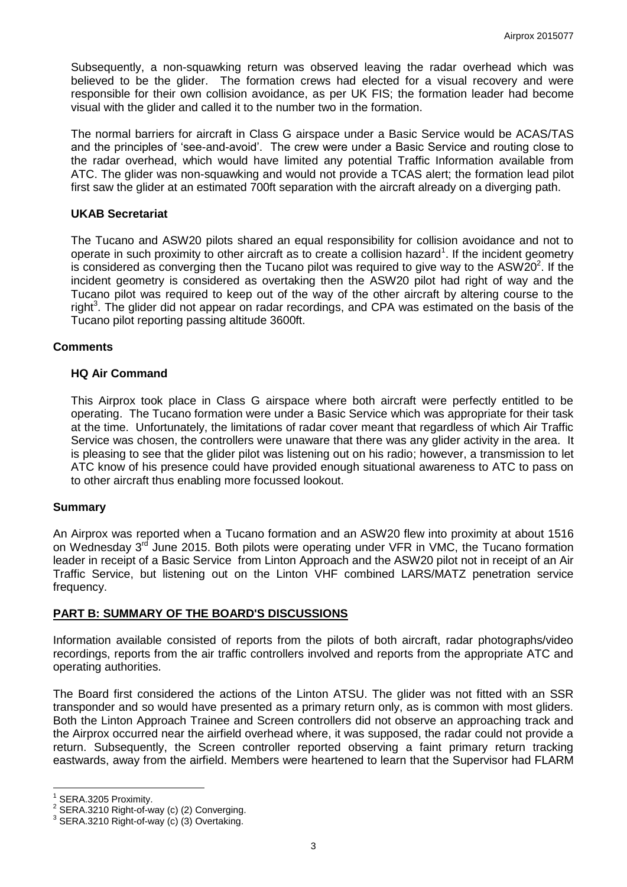Subsequently, a non-squawking return was observed leaving the radar overhead which was believed to be the glider. The formation crews had elected for a visual recovery and were responsible for their own collision avoidance, as per UK FIS; the formation leader had become visual with the glider and called it to the number two in the formation.

The normal barriers for aircraft in Class G airspace under a Basic Service would be ACAS/TAS and the principles of 'see-and-avoid'. The crew were under a Basic Service and routing close to the radar overhead, which would have limited any potential Traffic Information available from ATC. The glider was non-squawking and would not provide a TCAS alert; the formation lead pilot first saw the glider at an estimated 700ft separation with the aircraft already on a diverging path.

### **UKAB Secretariat**

The Tucano and ASW20 pilots shared an equal responsibility for collision avoidance and not to operate in such proximity to other aircraft as to create a collision hazard<sup>1</sup>. If the incident geometry is considered as converging then the Tucano pilot was required to give way to the ASW20<sup>2</sup>. If the incident geometry is considered as overtaking then the ASW20 pilot had right of way and the Tucano pilot was required to keep out of the way of the other aircraft by altering course to the right<sup>3</sup>. The glider did not appear on radar recordings, and CPA was estimated on the basis of the Tucano pilot reporting passing altitude 3600ft.

#### **Comments**

### **HQ Air Command**

This Airprox took place in Class G airspace where both aircraft were perfectly entitled to be operating. The Tucano formation were under a Basic Service which was appropriate for their task at the time. Unfortunately, the limitations of radar cover meant that regardless of which Air Traffic Service was chosen, the controllers were unaware that there was any glider activity in the area. It is pleasing to see that the glider pilot was listening out on his radio; however, a transmission to let ATC know of his presence could have provided enough situational awareness to ATC to pass on to other aircraft thus enabling more focussed lookout.

#### **Summary**

An Airprox was reported when a Tucano formation and an ASW20 flew into proximity at about 1516 on Wednesday 3<sup>rd</sup> June 2015. Both pilots were operating under VFR in VMC, the Tucano formation leader in receipt of a Basic Service from Linton Approach and the ASW20 pilot not in receipt of an Air Traffic Service, but listening out on the Linton VHF combined LARS/MATZ penetration service frequency.

# **PART B: SUMMARY OF THE BOARD'S DISCUSSIONS**

Information available consisted of reports from the pilots of both aircraft, radar photographs/video recordings, reports from the air traffic controllers involved and reports from the appropriate ATC and operating authorities.

The Board first considered the actions of the Linton ATSU. The glider was not fitted with an SSR transponder and so would have presented as a primary return only, as is common with most gliders. Both the Linton Approach Trainee and Screen controllers did not observe an approaching track and the Airprox occurred near the airfield overhead where, it was supposed, the radar could not provide a return. Subsequently, the Screen controller reported observing a faint primary return tracking eastwards, away from the airfield. Members were heartened to learn that the Supervisor had FLARM

 $\overline{a}$ 

<sup>1</sup> SERA.3205 Proximity.

 $2^{2}$  SERA.3210 Right-of-way (c) (2) Converging.

 $^3$  SERA.3210 Right-of-way (c) (3) Overtaking.